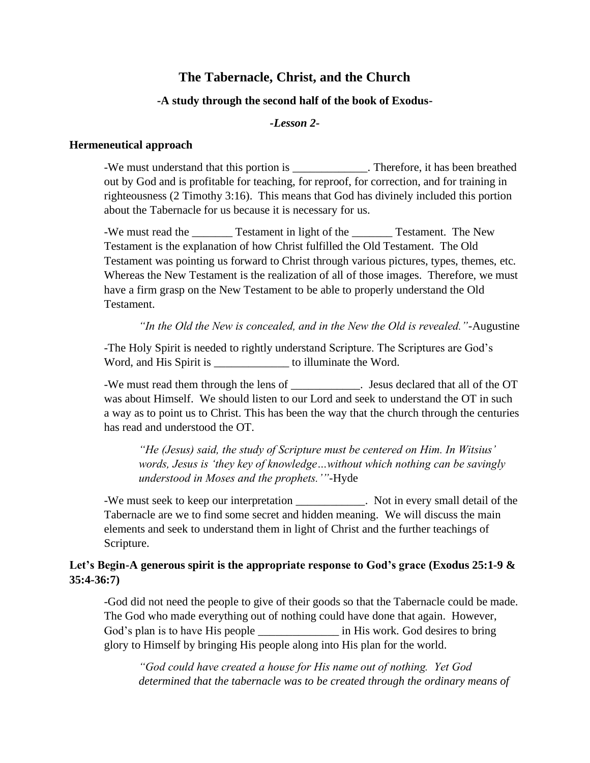# **The Tabernacle, Christ, and the Church**

### **-A study through the second half of the book of Exodus-**

#### *-Lesson 2-*

#### **Hermeneutical approach**

-We must understand that this portion is \_\_\_\_\_\_\_\_\_\_\_\_\_\_. Therefore, it has been breathed out by God and is profitable for teaching, for reproof, for correction, and for training in righteousness (2 Timothy 3:16). This means that God has divinely included this portion about the Tabernacle for us because it is necessary for us.

-We must read the \_\_\_\_\_\_\_\_ Testament in light of the \_\_\_\_\_\_\_ Testament. The New Testament is the explanation of how Christ fulfilled the Old Testament. The Old Testament was pointing us forward to Christ through various pictures, types, themes, etc. Whereas the New Testament is the realization of all of those images. Therefore, we must have a firm grasp on the New Testament to be able to properly understand the Old Testament.

*"In the Old the New is concealed, and in the New the Old is revealed."-*Augustine

-The Holy Spirit is needed to rightly understand Scripture. The Scriptures are God's Word, and His Spirit is \_\_\_\_\_\_\_\_\_\_\_\_\_\_\_ to illuminate the Word.

-We must read them through the lens of Figure . Jesus declared that all of the OT was about Himself. We should listen to our Lord and seek to understand the OT in such a way as to point us to Christ. This has been the way that the church through the centuries has read and understood the OT.

*"He (Jesus) said, the study of Scripture must be centered on Him. In Witsius' words, Jesus is 'they key of knowledge…without which nothing can be savingly understood in Moses and the prophets.'"-*Hyde

-We must seek to keep our interpretation \_\_\_\_\_\_\_\_\_\_\_\_. Not in every small detail of the Tabernacle are we to find some secret and hidden meaning. We will discuss the main elements and seek to understand them in light of Christ and the further teachings of Scripture.

## **Let's Begin-A generous spirit is the appropriate response to God's grace (Exodus 25:1-9 & 35:4-36:7)**

-God did not need the people to give of their goods so that the Tabernacle could be made. The God who made everything out of nothing could have done that again. However, God's plan is to have His people \_\_\_\_\_\_\_\_\_\_\_\_\_\_\_\_ in His work. God desires to bring glory to Himself by bringing His people along into His plan for the world.

*"God could have created a house for His name out of nothing. Yet God determined that the tabernacle was to be created through the ordinary means of*